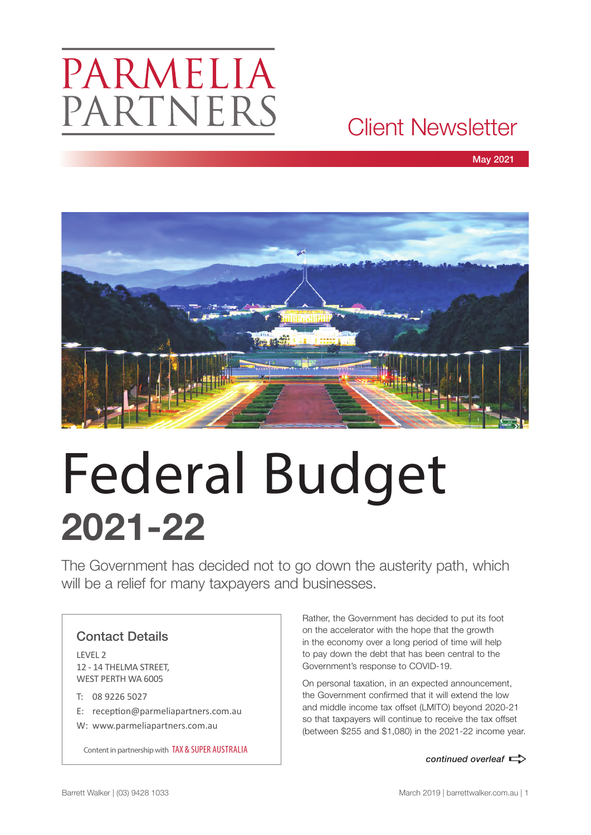### PARMELIA PARTNERS

### Client Newsletter

May 2021



# Federal Budget **2021-22**

The Government has decided not to go down the austerity path, which will be a relief for many taxpayers and businesses.

#### Contact Details

LEVEL 2 12 - 14 THELMA STREET, WEST PERTH WA 6005

- T: 08 9226 5027
- E: reception@parmeliapartners.com.au
- W: www.parmeliapartners.com.au

**Content in partnership with TAX & SUPER AUSTRALIA and the continued overleaf** 

Rather, the Government has decided to put its foot on the accelerator with the hope that the growth in the economy over a long period of time will help to pay down the debt that has been central to the Government's response to COVID-19.

On personal taxation, in an expected announcement, the Government confirmed that it will extend the low and middle income tax offset (LMITO) beyond 2020-21 so that taxpayers will continue to receive the tax offset (between \$255 and \$1,080) in the 2021-22 income year.

Barrett Walker | (03) 9428 1033 March 2019 | barrettwalker.com.au | 1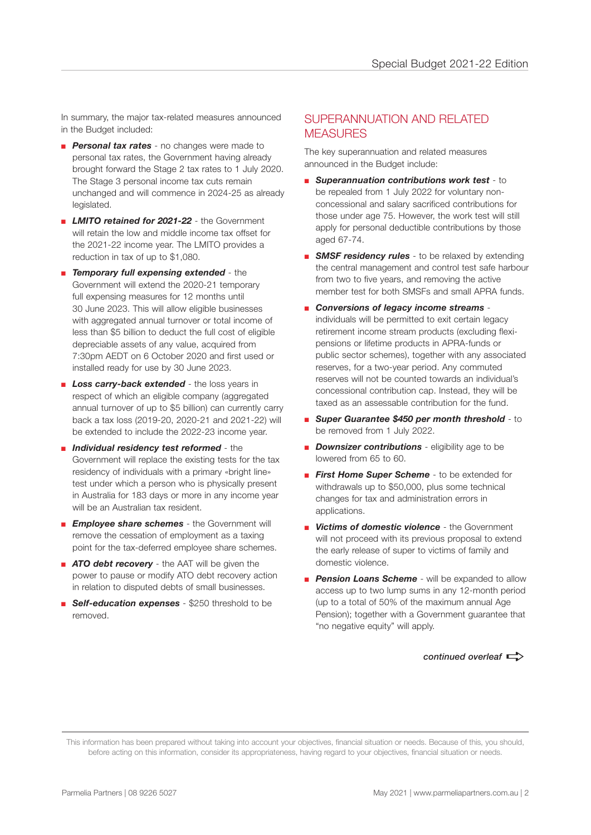In summary, the major tax-related measures announced in the Budget included:

- *Personal tax rates* no changes were made to personal tax rates, the Government having already brought forward the Stage 2 tax rates to 1 July 2020. The Stage 3 personal income tax cuts remain unchanged and will commence in 2024-25 as already legislated.
- **EXTED 7 IMITO retained for 2021-22** the Government will retain the low and middle income tax offset for the 2021-22 income year. The LMITO provides a reduction in tax of up to \$1,080.
- *Temporary full expensing extended* the Government will extend the 2020-21 temporary full expensing measures for 12 months until 30 June 2023. This will allow eligible businesses with aggregated annual turnover or total income of less than \$5 billion to deduct the full cost of eligible depreciable assets of any value, acquired from 7:30pm AEDT on 6 October 2020 and first used or installed ready for use by 30 June 2023.
- **Loss carry-back extended** the loss years in respect of which an eligible company (aggregated annual turnover of up to \$5 billion) can currently carry back a tax loss (2019-20, 2020-21 and 2021-22) will be extended to include the 2022-23 income year.
- *Individual residency test reformed* the Government will replace the existing tests for the tax residency of individuals with a primary «bright line» test under which a person who is physically present in Australia for 183 days or more in any income year will be an Australian tax resident.
- **Employee share schemes** the Government will remove the cessation of employment as a taxing point for the tax-deferred employee share schemes.
- *ATO debt recovery* the AAT will be given the power to pause or modify ATO debt recovery action in relation to disputed debts of small businesses.
- **Self-education expenses** \$250 threshold to be removed.

#### SUPERANNUATION AND RELATED **MEASURES**

The key superannuation and related measures announced in the Budget include:

- *Superannuation contributions work test* to be repealed from 1 July 2022 for voluntary nonconcessional and salary sacrificed contributions for those under age 75. However, the work test will still apply for personal deductible contributions by those aged 67-74.
- **BMSF residency rules** to be relaxed by extending the central management and control test safe harbour from two to five years, and removing the active member test for both SMSFs and small APRA funds.
- **Conversions of legacy income streams** individuals will be permitted to exit certain legacy retirement income stream products (excluding flexipensions or lifetime products in APRA-funds or public sector schemes), together with any associated reserves, for a two-year period. Any commuted reserves will not be counted towards an individual's concessional contribution cap. Instead, they will be taxed as an assessable contribution for the fund.
- *Super Guarantee \$450 per month threshold* to be removed from 1 July 2022.
- *Downsizer contributions* eligibility age to be lowered from 65 to 60.
- **First Home Super Scheme** to be extended for withdrawals up to \$50,000, plus some technical changes for tax and administration errors in applications.
- *Victims of domestic violence* the Government will not proceed with its previous proposal to extend the early release of super to victims of family and domestic violence.
- **Pension Loans Scheme** will be expanded to allow access up to two lump sums in any 12-month period (up to a total of 50% of the maximum annual Age Pension); together with a Government guarantee that "no negative equity" will apply.

#### *continued overleaf*  $\Rightarrow$

This information has been prepared without taking into account your objectives, financial situation or needs. Because of this, you should, before acting on this information, consider its appropriateness, having regard to your objectives, financial situation or needs.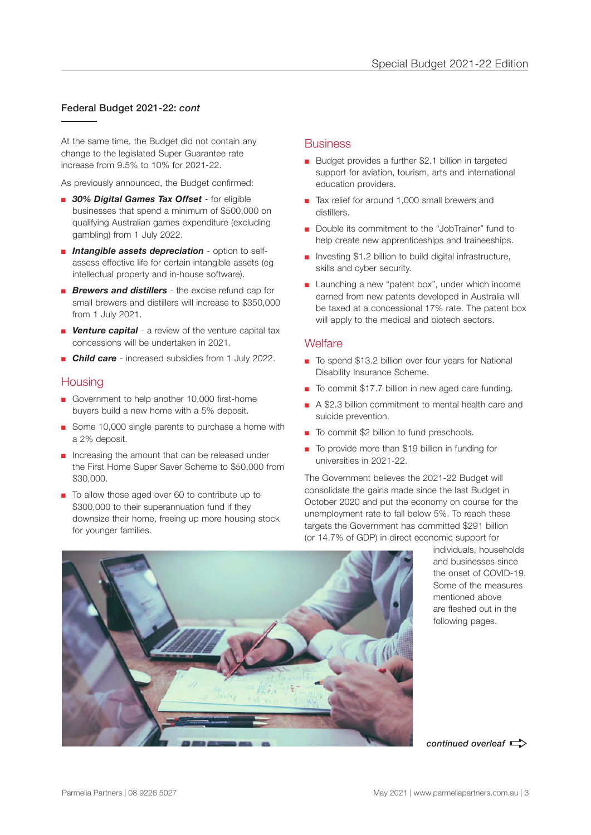#### Federal Budget 2021-22: *cont*

At the same time, the Budget did not contain any change to the legislated Super Guarantee rate increase from 9.5% to 10% for 2021-22.

As previously announced, the Budget confirmed:

- *30% Digital Games Tax Offset* for eligible businesses that spend a minimum of \$500,000 on qualifying Australian games expenditure (excluding gambling) from 1 July 2022.
- *Intangible assets depreciation* option to selfassess effective life for certain intangible assets (eg intellectual property and in-house software).
- *Brewers and distillers* the excise refund cap for small brewers and distillers will increase to \$350,000 from 1 July 2021.
- **E** Venture capital a review of the venture capital tax concessions will be undertaken in 2021.
- **Child care** increased subsidies from 1 July 2022.

#### **Housing**

- Government to help another 10,000 first-home buyers build a new home with a 5% deposit.
- Some 10,000 single parents to purchase a home with a 2% deposit.
- Increasing the amount that can be released under the First Home Super Saver Scheme to \$50,000 from \$30,000.
- To allow those aged over 60 to contribute up to \$300,000 to their superannuation fund if they downsize their home, freeing up more housing stock for younger families.

#### **Business**

- Budget provides a further \$2.1 billion in targeted support for aviation, tourism, arts and international education providers.
- Tax relief for around 1,000 small brewers and distillers.
- Double its commitment to the "JobTrainer" fund to help create new apprenticeships and traineeships.
- Investing \$1.2 billion to build digital infrastructure, skills and cyber security.
- Launching a new "patent box", under which income earned from new patents developed in Australia will be taxed at a concessional 17% rate. The patent box will apply to the medical and biotech sectors.

#### **Welfare**

- To spend \$13.2 billion over four years for National Disability Insurance Scheme.
- To commit \$17.7 billion in new aged care funding.
- A \$2.3 billion commitment to mental health care and suicide prevention.
- To commit \$2 billion to fund preschools.
- To provide more than \$19 billion in funding for universities in 2021-22.

The Government believes the 2021-22 Budget will consolidate the gains made since the last Budget in October 2020 and put the economy on course for the unemployment rate to fall below 5%. To reach these targets the Government has committed \$291 billion (or 14.7% of GDP) in direct economic support for



individuals, households and businesses since the onset of COVID-19. Some of the measures mentioned above are fleshed out in the following pages.

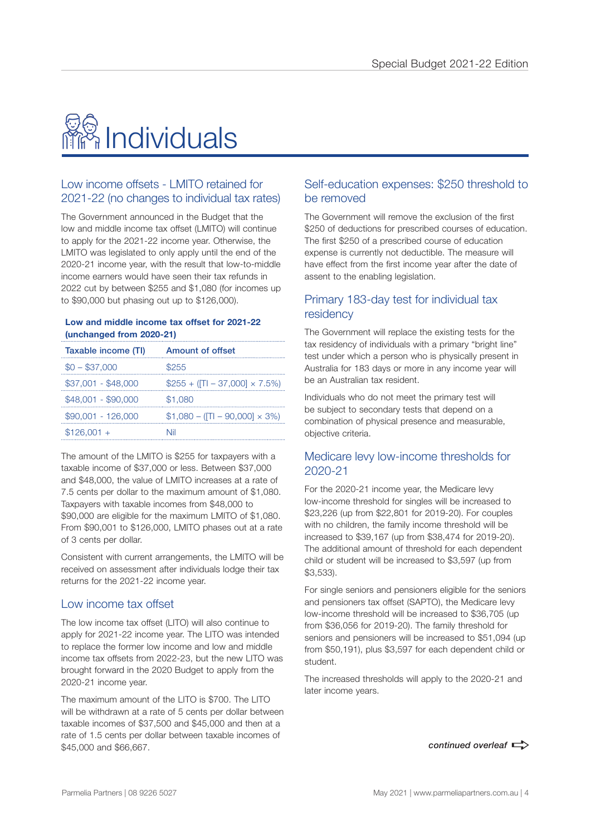## <mark>稳</mark> Individuals

#### Low income offsets - LMITO retained for 2021-22 (no changes to individual tax rates)

The Government announced in the Budget that the low and middle income tax offset (LMITO) will continue to apply for the 2021-22 income year. Otherwise, the LMITO was legislated to only apply until the end of the 2020-21 income year, with the result that low-to-middle income earners would have seen their tax refunds in 2022 cut by between \$255 and \$1,080 (for incomes up to \$90,000 but phasing out up to \$126,000).

#### **Low and middle income tax offset for 2021-22 (unchanged from 2020-21)**

| Taxable income (TI) | <b>Amount of offset</b>              |
|---------------------|--------------------------------------|
| $$0 - $37,000$      | \$255                                |
| $$37,001 - $48,000$ | $$255 + ([TI – 37,000] × 7.5%)$      |
| \$48,001 - \$90,000 | \$1,080                              |
| $$90,001 - 126,000$ | $$1,080 - (TI - 90,000] \times 3\%)$ |
| $$126,001 +$        | Nil                                  |

The amount of the LMITO is \$255 for taxpayers with a taxable income of \$37,000 or less. Between \$37,000 and \$48,000, the value of LMITO increases at a rate of 7.5 cents per dollar to the maximum amount of \$1,080. Taxpayers with taxable incomes from \$48,000 to \$90,000 are eligible for the maximum LMITO of \$1,080. From \$90,001 to \$126,000, LMITO phases out at a rate of 3 cents per dollar.

Consistent with current arrangements, the LMITO will be received on assessment after individuals lodge their tax returns for the 2021-22 income year.

#### Low income tax offset

The low income tax offset (LITO) will also continue to apply for 2021-22 income year. The LITO was intended to replace the former low income and low and middle income tax offsets from 2022-23, but the new LITO was brought forward in the 2020 Budget to apply from the 2020-21 income year.

The maximum amount of the LITO is \$700. The LITO will be withdrawn at a rate of 5 cents per dollar between taxable incomes of \$37,500 and \$45,000 and then at a rate of 1.5 cents per dollar between taxable incomes of \$45,000 and \$66,667.

#### Self-education expenses: \$250 threshold to be removed

The Government will remove the exclusion of the first \$250 of deductions for prescribed courses of education. The first \$250 of a prescribed course of education expense is currently not deductible. The measure will have effect from the first income year after the date of assent to the enabling legislation.

#### Primary 183-day test for individual tax residency

The Government will replace the existing tests for the tax residency of individuals with a primary "bright line" test under which a person who is physically present in Australia for 183 days or more in any income year will be an Australian tax resident.

Individuals who do not meet the primary test will be subject to secondary tests that depend on a combination of physical presence and measurable, objective criteria.

#### Medicare levy low-income thresholds for 2020-21

For the 2020-21 income year, the Medicare levy low-income threshold for singles will be increased to \$23,226 (up from \$22,801 for 2019-20). For couples with no children, the family income threshold will be increased to \$39,167 (up from \$38,474 for 2019-20). The additional amount of threshold for each dependent child or student will be increased to \$3,597 (up from \$3,533).

For single seniors and pensioners eligible for the seniors and pensioners tax offset (SAPTO), the Medicare levy low-income threshold will be increased to \$36,705 (up from \$36,056 for 2019-20). The family threshold for seniors and pensioners will be increased to \$51,094 (up from \$50,191), plus \$3,597 for each dependent child or student.

The increased thresholds will apply to the 2020-21 and later income years.

continued overleaf  $\Rightarrow$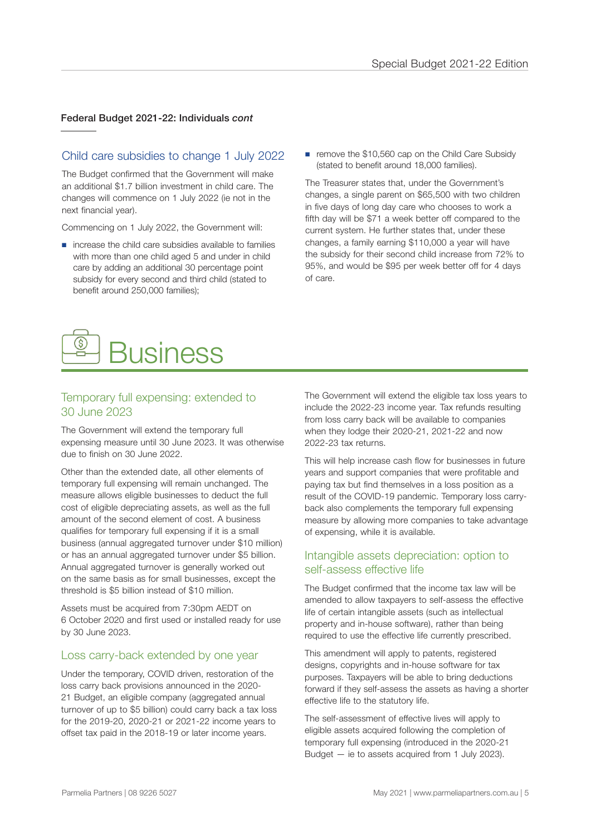#### Federal Budget 2021-22: Individuals *cont*

#### Child care subsidies to change 1 July 2022

The Budget confirmed that the Government will make an additional \$1.7 billion investment in child care. The changes will commence on 1 July 2022 (ie not in the next financial year).

Commencing on 1 July 2022, the Government will:

- increase the child care subsidies available to families with more than one child aged 5 and under in child care by adding an additional 30 percentage point subsidy for every second and third child (stated to benefit around 250,000 families);
- remove the \$10,560 cap on the Child Care Subsidy (stated to benefit around 18,000 families).

The Treasurer states that, under the Government's changes, a single parent on \$65,500 with two children in five days of long day care who chooses to work a fifth day will be \$71 a week better off compared to the current system. He further states that, under these changes, a family earning \$110,000 a year will have the subsidy for their second child increase from 72% to 95%, and would be \$95 per week better off for 4 days of care.



#### Temporary full expensing: extended to 30 June 2023

The Government will extend the temporary full expensing measure until 30 June 2023. It was otherwise due to finish on 30 June 2022.

Other than the extended date, all other elements of temporary full expensing will remain unchanged. The measure allows eligible businesses to deduct the full cost of eligible depreciating assets, as well as the full amount of the second element of cost. A business qualifies for temporary full expensing if it is a small business (annual aggregated turnover under \$10 million) or has an annual aggregated turnover under \$5 billion. Annual aggregated turnover is generally worked out on the same basis as for small businesses, except the threshold is \$5 billion instead of \$10 million.

Assets must be acquired from 7:30pm AEDT on 6 October 2020 and first used or installed ready for use by 30 June 2023.

#### Loss carry-back extended by one year

Under the temporary, COVID driven, restoration of the loss carry back provisions announced in the 2020- 21 Budget, an eligible company (aggregated annual turnover of up to \$5 billion) could carry back a tax loss for the 2019-20, 2020-21 or 2021-22 income years to offset tax paid in the 2018-19 or later income years.

The Government will extend the eligible tax loss years to include the 2022-23 income year. Tax refunds resulting from loss carry back will be available to companies when they lodge their 2020-21, 2021-22 and now 2022-23 tax returns.

This will help increase cash flow for businesses in future years and support companies that were profitable and paying tax but find themselves in a loss position as a result of the COVID-19 pandemic. Temporary loss carryback also complements the temporary full expensing measure by allowing more companies to take advantage of expensing, while it is available.

#### Intangible assets depreciation: option to self-assess effective life

The Budget confirmed that the income tax law will be amended to allow taxpayers to self-assess the effective life of certain intangible assets (such as intellectual property and in-house software), rather than being required to use the effective life currently prescribed.

This amendment will apply to patents, registered designs, copyrights and in-house software for tax purposes. Taxpayers will be able to bring deductions forward if they self-assess the assets as having a shorter effective life to the statutory life.

The self-assessment of effective lives will apply to eligible assets acquired following the completion of temporary full expensing (introduced in the 2020-21 Budget — ie to assets acquired from 1 July 2023).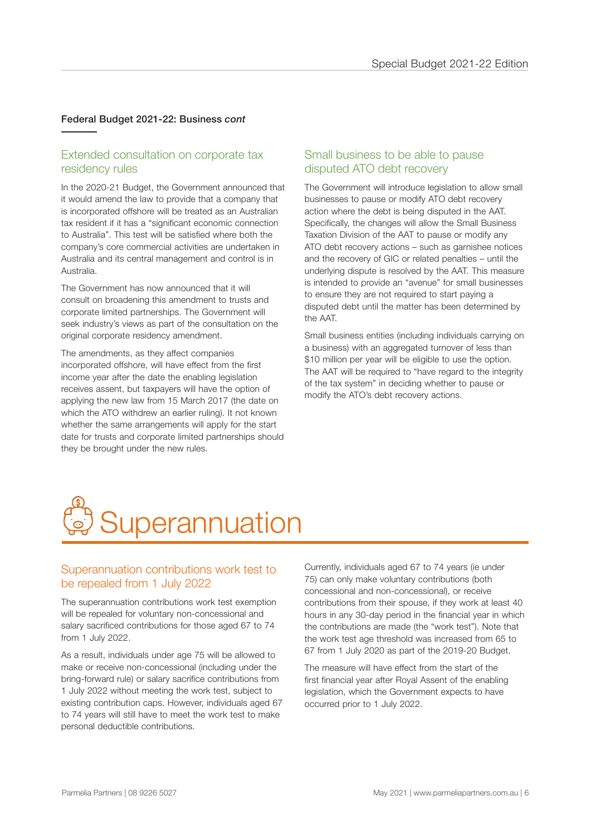#### Federal Budget 2021-22: Business *cont*

#### Extended consultation on corporate tax residency rules

In the 2020-21 Budget, the Government announced that it would amend the law to provide that a company that is incorporated offshore will be treated as an Australian tax resident if it has a "significant economic connection to Australia". This test will be satisfied where both the company's core commercial activities are undertaken in Australia and its central management and control is in Australia.

The Government has now announced that it will consult on broadening this amendment to trusts and corporate limited partnerships. The Government will seek industry's views as part of the consultation on the original corporate residency amendment.

The amendments, as they affect companies incorporated offshore, will have effect from the first income year after the date the enabling legislation receives assent, but taxpayers will have the option of applying the new law from 15 March 2017 (the date on which the ATO withdrew an earlier ruling). It not known whether the same arrangements will apply for the start date for trusts and corporate limited partnerships should they be brought under the new rules.

#### Small business to be able to pause disputed ATO debt recovery

The Government will introduce legislation to allow small businesses to pause or modify ATO debt recovery action where the debt is being disputed in the AAT. Specifically, the changes will allow the Small Business Taxation Division of the AAT to pause or modify any ATO debt recovery actions – such as garnishee notices and the recovery of GIC or related penalties – until the underlying dispute is resolved by the AAT. This measure is intended to provide an "avenue" for small businesses to ensure they are not required to start paying a disputed debt until the matter has been determined by the AAT.

Small business entities (including individuals carrying on a business) with an aggregated turnover of less than \$10 million per year will be eligible to use the option. The AAT will be required to "have regard to the integrity of the tax system" in deciding whether to pause or modify the ATO's debt recovery actions.



#### Superannuation contributions work test to be repealed from 1 July 2022

The superannuation contributions work test exemption will be repealed for voluntary non-concessional and salary sacrificed contributions for those aged 67 to 74 from 1 July 2022.

As a result, individuals under age 75 will be allowed to make or receive non-concessional (including under the bring-forward rule) or salary sacrifice contributions from 1 July 2022 without meeting the work test, subject to existing contribution caps. However, individuals aged 67 to 74 years will still have to meet the work test to make personal deductible contributions.

Currently, individuals aged 67 to 74 years (ie under 75) can only make voluntary contributions (both concessional and non-concessional), or receive contributions from their spouse, if they work at least 40 hours in any 30-day period in the financial year in which the contributions are made (the "work test"). Note that the work test age threshold was increased from 65 to 67 from 1 July 2020 as part of the 2019-20 Budget.

The measure will have effect from the start of the first financial year after Royal Assent of the enabling legislation, which the Government expects to have occurred prior to 1 July 2022.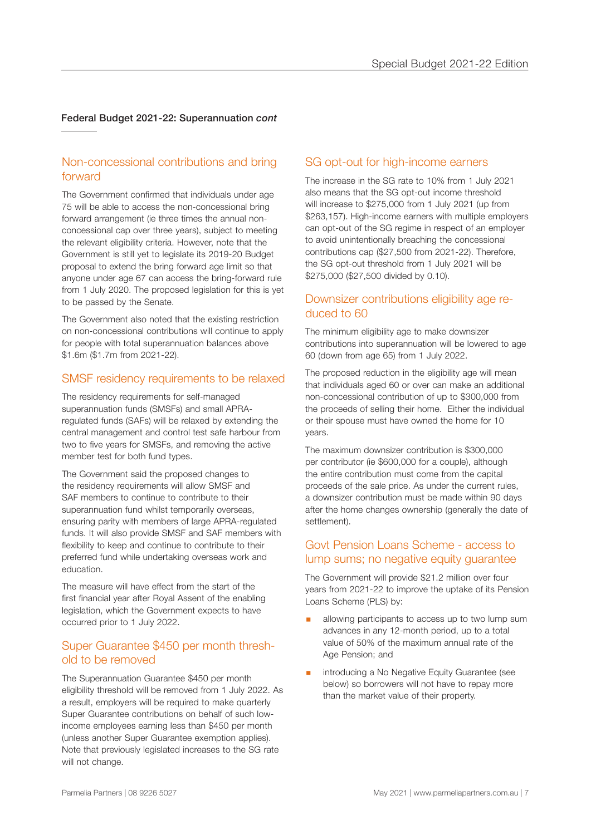#### Federal Budget 2021-22: Superannuation *cont*

#### Non-concessional contributions and bring forward

The Government confirmed that individuals under age 75 will be able to access the non-concessional bring forward arrangement (ie three times the annual nonconcessional cap over three years), subject to meeting the relevant eligibility criteria. However, note that the Government is still yet to legislate its 2019-20 Budget proposal to extend the bring forward age limit so that anyone under age 67 can access the bring-forward rule from 1 July 2020. The proposed legislation for this is yet to be passed by the Senate.

The Government also noted that the existing restriction on non-concessional contributions will continue to apply for people with total superannuation balances above \$1.6m (\$1.7m from 2021-22).

#### SMSF residency requirements to be relaxed

The residency requirements for self-managed superannuation funds (SMSFs) and small APRAregulated funds (SAFs) will be relaxed by extending the central management and control test safe harbour from two to five years for SMSFs, and removing the active member test for both fund types.

The Government said the proposed changes to the residency requirements will allow SMSF and SAF members to continue to contribute to their superannuation fund whilst temporarily overseas, ensuring parity with members of large APRA-regulated funds. It will also provide SMSF and SAF members with flexibility to keep and continue to contribute to their preferred fund while undertaking overseas work and education.

The measure will have effect from the start of the first financial year after Royal Assent of the enabling legislation, which the Government expects to have occurred prior to 1 July 2022.

#### Super Guarantee \$450 per month threshold to be removed

The Superannuation Guarantee \$450 per month eligibility threshold will be removed from 1 July 2022. As a result, employers will be required to make quarterly Super Guarantee contributions on behalf of such lowincome employees earning less than \$450 per month (unless another Super Guarantee exemption applies). Note that previously legislated increases to the SG rate will not change.

#### SG opt-out for high-income earners

The increase in the SG rate to 10% from 1 July 2021 also means that the SG opt-out income threshold will increase to \$275,000 from 1 July 2021 (up from \$263,157). High-income earners with multiple employers can opt-out of the SG regime in respect of an employer to avoid unintentionally breaching the concessional contributions cap (\$27,500 from 2021-22). Therefore, the SG opt-out threshold from 1 July 2021 will be \$275,000 (\$27,500 divided by 0.10).

#### Downsizer contributions eligibility age reduced to 60

The minimum eligibility age to make downsizer contributions into superannuation will be lowered to age 60 (down from age 65) from 1 July 2022.

The proposed reduction in the eligibility age will mean that individuals aged 60 or over can make an additional non-concessional contribution of up to \$300,000 from the proceeds of selling their home. Either the individual or their spouse must have owned the home for 10 years.

The maximum downsizer contribution is \$300,000 per contributor (ie \$600,000 for a couple), although the entire contribution must come from the capital proceeds of the sale price. As under the current rules, a downsizer contribution must be made within 90 days after the home changes ownership (generally the date of settlement).

#### Govt Pension Loans Scheme - access to lump sums; no negative equity guarantee

The Government will provide \$21.2 million over four years from 2021-22 to improve the uptake of its Pension Loans Scheme (PLS) by:

- allowing participants to access up to two lump sum advances in any 12-month period, up to a total value of 50% of the maximum annual rate of the Age Pension; and
- introducing a No Negative Equity Guarantee (see below) so borrowers will not have to repay more than the market value of their property.